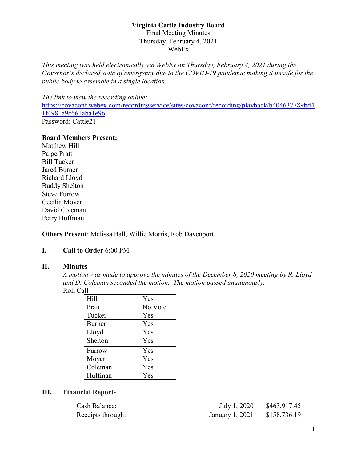This meeting was held electronically via WebEx on Thursday, February 4, 2021 during the Governor's declared state of emergency due to the COVID-19 pandemic making it unsafe for the public body to assemble in a single location.

The link to view the recording online: https://covaconf.webex.com/recordingservice/sites/covaconf/recording/playback/b404637789bd4 1f4981a9c661aba1e96 Password: Cattle21

#### Board Members Present:

Matthew Hill Paige Pratt Bill Tucker Jared Burner Richard Lloyd Buddy Shelton Steve Furrow Cecilia Moyer David Coleman Perry Huffman

Others Present: Melissa Ball, Willie Morris, Rob Davenport

#### I. Call to Order 6:00 PM

#### II. Minutes

A motion was made to approve the minutes of the December 8, 2020 meeting by R. Lloyd and D. Coleman seconded the motion. The motion passed unanimously. Roll Call

| Hill    | Yes     |
|---------|---------|
| Pratt   | No Vote |
| Tucker  | Yes     |
| Burner  | Yes     |
| Lloyd   | Yes     |
| Shelton | Yes     |
| Furrow  | Yes     |
| Moyer   | Yes     |
| Coleman | Yes     |
| Huffman | Yes     |

#### III. Financial Report-

| Cash Balance:     | July 1, 2020    | \$463,917.45 |
|-------------------|-----------------|--------------|
| Receipts through: | January 1, 2021 | \$158,736.19 |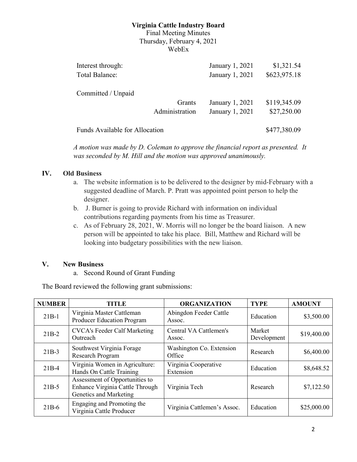# Virginia Cattle Industry Board

Final Meeting Minutes Thursday, February 4, 2021 WebEx

| Interest through:                     |                | January 1, 2021 | \$1,321.54   |
|---------------------------------------|----------------|-----------------|--------------|
| Total Balance:                        |                | January 1, 2021 | \$623,975.18 |
| Committed / Unpaid                    |                |                 |              |
|                                       | Grants         | January 1, 2021 | \$119,345.09 |
|                                       | Administration | January 1, 2021 | \$27,250.00  |
| <b>Funds Available for Allocation</b> |                |                 | \$477,380.09 |

A motion was made by D. Coleman to approve the financial report as presented. It was seconded by M. Hill and the motion was approved unanimously.

### IV. Old Business

- a. The website information is to be delivered to the designer by mid-February with a suggested deadline of March. P. Pratt was appointed point person to help the designer.
- b. J. Burner is going to provide Richard with information on individual contributions regarding payments from his time as Treasurer.
- c. As of February 28, 2021, W. Morris will no longer be the board liaison. A new person will be appointed to take his place. Bill, Matthew and Richard will be looking into budgetary possibilities with the new liaison.

### V. New Business

a. Second Round of Grant Funding

The Board reviewed the following grant submissions:

| <b>NUMBER</b> | <b>TITLE</b>                                                                                | <b>ORGANIZATION</b>                | <b>TYPE</b>           | <b>AMOUNT</b> |
|---------------|---------------------------------------------------------------------------------------------|------------------------------------|-----------------------|---------------|
| $21B-1$       | Virginia Master Cattleman<br><b>Producer Education Program</b>                              | Abingdon Feeder Cattle<br>Assoc.   | Education             | \$3,500.00    |
| $21B-2$       | <b>CVCA's Feeder Calf Marketing</b><br>Outreach                                             | Central VA Cattlemen's<br>Assoc.   | Market<br>Development | \$19,400.00   |
| $21B-3$       | Southwest Virginia Forage<br>Research Program                                               | Washington Co. Extension<br>Office | Research              | \$6,400.00    |
| $21B-4$       | Virginia Women in Agriculture:<br>Hands On Cattle Training                                  | Virginia Cooperative<br>Extension  | Education             | \$8,648.52    |
| $21B-5$       | Assessment of Opportunities to<br>Enhance Virginia Cattle Through<br>Genetics and Marketing | Virginia Tech                      | Research              | \$7,122.50    |
| $21B-6$       | Engaging and Promoting the<br>Virginia Cattle Producer                                      | Virginia Cattlemen's Assoc.        | Education             | \$25,000.00   |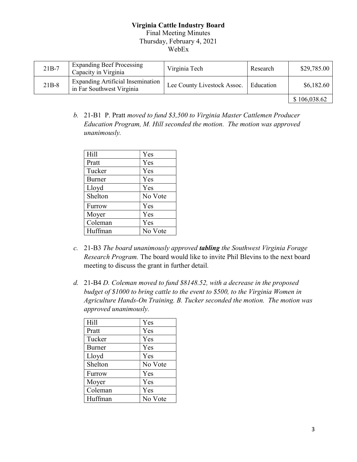| $21B-7$ | <b>Expanding Beef Processing</b><br>Capacity in Virginia              | Virginia Tech               | Research  | \$29,785.00  |
|---------|-----------------------------------------------------------------------|-----------------------------|-----------|--------------|
| $21B-8$ | <b>Expanding Artificial Insemination</b><br>in Far Southwest Virginia | Lee County Livestock Assoc. | Education | \$6,182.60   |
|         |                                                                       |                             |           | \$106,038.62 |

b. 21-B1 P. Pratt moved to fund \$3,500 to Virginia Master Cattlemen Producer Education Program, M. Hill seconded the motion. The motion was approved unanimously.

| Hill    | Yes     |
|---------|---------|
| Pratt   | Yes     |
| Tucker  | Yes     |
| Burner  | Yes     |
| Lloyd   | Yes     |
| Shelton | No Vote |
| Furrow  | Yes     |
| Moyer   | Yes     |
| Coleman | Yes     |
| Huffman | No Vote |

- c. 21-B3 The board unanimously approved tabling the Southwest Virginia Forage Research Program. The board would like to invite Phil Blevins to the next board meeting to discuss the grant in further detail.
- d. 21-B4 D. Coleman moved to fund \$8148.52, with a decrease in the proposed budget of \$1000 to bring cattle to the event to \$500, to the Virginia Women in Agriculture Hands-On Training. B. Tucker seconded the motion. The motion was approved unanimously.

| $\vert$ Hill | Yes     |
|--------------|---------|
| Pratt        | Yes     |
| Tucker       | Yes     |
| Burner       | Yes     |
| Lloyd        | Yes     |
| Shelton      | No Vote |
| Furrow       | Yes     |
| Moyer        | Yes     |
| Coleman      | Yes     |
| Huffman      | No Vote |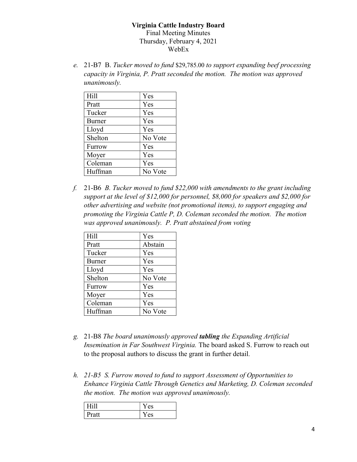e. 21-B7 B. Tucker moved to fund \$29,785.00 to support expanding beef processing capacity in Virginia, P. Pratt seconded the motion. The motion was approved unanimously.

| Hill    | Yes     |
|---------|---------|
| Pratt   | Yes     |
| Tucker  | Yes     |
| Burner  | Yes     |
| Lloyd   | Yes     |
| Shelton | No Vote |
| Furrow  | Yes     |
| Moyer   | Yes     |
| Coleman | Yes     |
| Huffman | No Vote |

f. 21-B6 B. Tucker moved to fund \$22,000 with amendments to the grant including support at the level of \$12,000 for personnel, \$8,000 for speakers and \$2,000 for other advertising and website (not promotional items), to support engaging and promoting the Virginia Cattle P, D. Coleman seconded the motion. The motion was approved unanimously. P. Pratt abstained from voting

| Hill          | Yes     |
|---------------|---------|
| Pratt         | Abstain |
| Tucker        | Yes     |
| <b>Burner</b> | Yes     |
| Lloyd         | Yes     |
| Shelton       | No Vote |
| Furrow        | Yes     |
| Moyer         | Yes     |
| Coleman       | Yes     |
| Huffman       | No Vote |

- g. 21-B8 The board unanimously approved tabling the Expanding Artificial Insemination in Far Southwest Virginia. The board asked S. Furrow to reach out to the proposal authors to discuss the grant in further detail.
- h. 21-B5 S. Furrow moved to fund to support Assessment of Opportunities to Enhance Virginia Cattle Through Genetics and Marketing, D. Coleman seconded the motion. The motion was approved unanimously.

| <b>Fill</b> | es |
|-------------|----|
| Pratt       | es |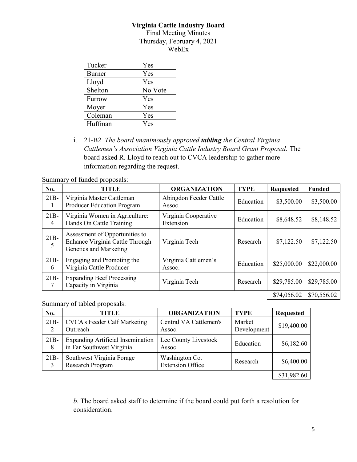## Virginia Cattle Industry Board

Final Meeting Minutes Thursday, February 4, 2021 WebEx

| Tucker        | Yes     |
|---------------|---------|
| <b>Burner</b> | Yes     |
| Lloyd         | Yes     |
| Shelton       | No Vote |
| Furrow        | Yes     |
| Moyer         | Yes     |
| Coleman       | Yes     |
| Huffman       | Yes     |

i. 21-B2 The board unanimously approved tabling the Central Virginia Cattlemen's Association Virginia Cattle Industry Board Grant Proposal. The board asked R. Lloyd to reach out to CVCA leadership to gather more information regarding the request.

Summary of funded proposals:

| No.         | <b>TITLE</b>                                                                                | <b>ORGANIZATION</b>               | <b>TYPE</b> | <b>Requested</b> | <b>Funded</b> |
|-------------|---------------------------------------------------------------------------------------------|-----------------------------------|-------------|------------------|---------------|
| $21B-$      | Virginia Master Cattleman<br><b>Producer Education Program</b>                              | Abingdon Feeder Cattle<br>Assoc.  | Education   | \$3,500.00       | \$3,500.00    |
| $21B-$<br>4 | Virginia Women in Agriculture:<br>Hands On Cattle Training                                  | Virginia Cooperative<br>Extension | Education   | \$8,648.52       | \$8,148.52    |
| $21B-$<br>5 | Assessment of Opportunities to<br>Enhance Virginia Cattle Through<br>Genetics and Marketing | Virginia Tech                     | Research    | \$7,122.50       | \$7,122.50    |
| $21B-$<br>6 | Engaging and Promoting the<br>Virginia Cattle Producer                                      | Virginia Cattlemen's<br>Assoc.    | Education   | \$25,000.00      | \$22,000.00   |
| $21B-$      | <b>Expanding Beef Processing</b><br>Capacity in Virginia                                    | Virginia Tech                     | Research    | \$29,785.00      | \$29,785.00   |
|             |                                                                                             |                                   |             | \$74,056.02      | \$70,556.02   |

Summary of tabled proposals:

| No.          | TITLE                                                                 | <b>ORGANIZATION</b>                       | <b>TYPE</b>           | <b>Requested</b> |
|--------------|-----------------------------------------------------------------------|-------------------------------------------|-----------------------|------------------|
| $21B-$       | <b>CVCA's Feeder Calf Marketing</b><br>Outreach                       | Central VA Cattlemen's<br>Assoc.          | Market<br>Development | \$19,400.00      |
| $21B -$<br>8 | <b>Expanding Artificial Insemination</b><br>in Far Southwest Virginia | Lee County Livestock<br>Assoc.            | Education             | \$6,182.60       |
| $21B -$<br>3 | Southwest Virginia Forage<br>Research Program                         | Washington Co.<br><b>Extension Office</b> | Research              | \$6,400.00       |
|              |                                                                       |                                           |                       | \$31,982.60      |

b. The board asked staff to determine if the board could put forth a resolution for consideration.